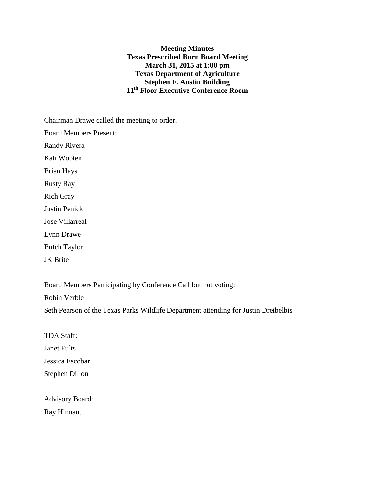**Meeting Minutes Texas Prescribed Burn Board Meeting March 31, 2015 at 1:00 pm Texas Department of Agriculture Stephen F. Austin Building 11th Floor Executive Conference Room**

Chairman Drawe called the meeting to order.

Board Members Present:

Randy Rivera

Kati Wooten

Brian Hays

Rusty Ray

Rich Gray

Justin Penick

Jose Villarreal

Lynn Drawe

Butch Taylor

JK Brite

Board Members Participating by Conference Call but not voting:

Robin Verble

Seth Pearson of the Texas Parks Wildlife Department attending for Justin Dreibelbis

TDA Staff:

Janet Fults

Jessica Escobar

Stephen Dillon

Advisory Board: Ray Hinnant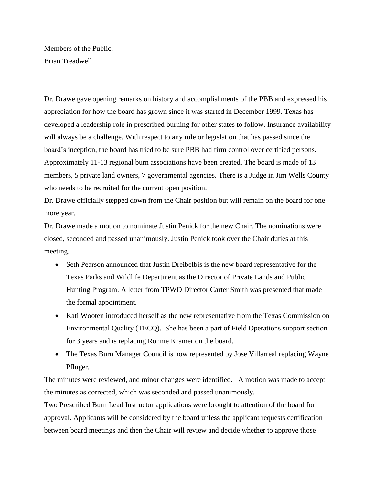Members of the Public: Brian Treadwell

Dr. Drawe gave opening remarks on history and accomplishments of the PBB and expressed his appreciation for how the board has grown since it was started in December 1999. Texas has developed a leadership role in prescribed burning for other states to follow. Insurance availability will always be a challenge. With respect to any rule or legislation that has passed since the board's inception, the board has tried to be sure PBB had firm control over certified persons. Approximately 11-13 regional burn associations have been created. The board is made of 13 members, 5 private land owners, 7 governmental agencies. There is a Judge in Jim Wells County who needs to be recruited for the current open position.

Dr. Drawe officially stepped down from the Chair position but will remain on the board for one more year.

Dr. Drawe made a motion to nominate Justin Penick for the new Chair. The nominations were closed, seconded and passed unanimously. Justin Penick took over the Chair duties at this meeting.

- Seth Pearson announced that Justin Dreibelbis is the new board representative for the Texas Parks and Wildlife Department as the Director of Private Lands and Public Hunting Program. A letter from TPWD Director Carter Smith was presented that made the formal appointment.
- Kati Wooten introduced herself as the new representative from the Texas Commission on Environmental Quality (TECQ). She has been a part of Field Operations support section for 3 years and is replacing Ronnie Kramer on the board.
- The Texas Burn Manager Council is now represented by Jose Villarreal replacing Wayne Pfluger.

The minutes were reviewed, and minor changes were identified. A motion was made to accept the minutes as corrected, which was seconded and passed unanimously.

Two Prescribed Burn Lead Instructor applications were brought to attention of the board for approval. Applicants will be considered by the board unless the applicant requests certification between board meetings and then the Chair will review and decide whether to approve those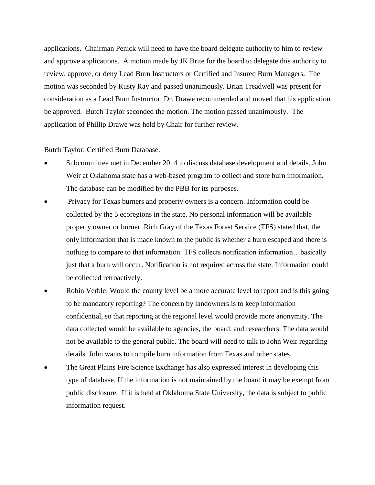applications. Chairman Penick will need to have the board delegate authority to him to review and approve applications. A motion made by JK Brite for the board to delegate this authority to review, approve, or deny Lead Burn Instructors or Certified and Insured Burn Managers. The motion was seconded by Rusty Ray and passed unanimously. Brian Treadwell was present for consideration as a Lead Burn Instructor. Dr. Drawe recommended and moved that his application be approved. Butch Taylor seconded the motion. The motion passed unanimously. The application of Phillip Drawe was held by Chair for further review.

Butch Taylor: Certified Burn Database.

- Subcommittee met in December 2014 to discuss database development and details. John Weir at Oklahoma state has a web-based program to collect and store burn information. The database can be modified by the PBB for its purposes.
- Privacy for Texas burners and property owners is a concern. Information could be collected by the 5 ecoregions in the state. No personal information will be available – property owner or burner. Rich Gray of the Texas Forest Service (TFS) stated that, the only information that is made known to the public is whether a burn escaped and there is nothing to compare to that information. TFS collects notification information…basically just that a burn will occur. Notification is not required across the state. Information could be collected retroactively.
- Robin Verble: Would the county level be a more accurate level to report and is this going to be mandatory reporting? The concern by landowners is to keep information confidential, so that reporting at the regional level would provide more anonymity. The data collected would be available to agencies, the board, and researchers. The data would not be available to the general public. The board will need to talk to John Weir regarding details. John wants to compile burn information from Texas and other states.
- The Great Plains Fire Science Exchange has also expressed interest in developing this type of database. If the information is not maintained by the board it may be exempt from public disclosure. If it is held at Oklahoma State University, the data is subject to public information request.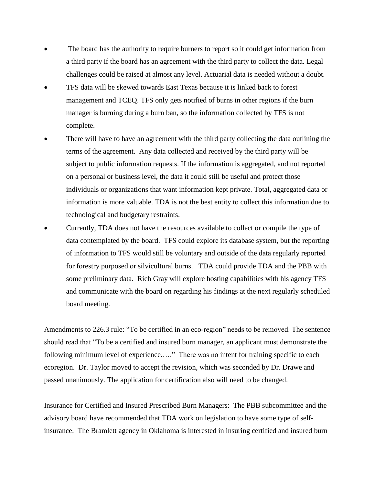- The board has the authority to require burners to report so it could get information from a third party if the board has an agreement with the third party to collect the data. Legal challenges could be raised at almost any level. Actuarial data is needed without a doubt.
- TFS data will be skewed towards East Texas because it is linked back to forest management and TCEQ. TFS only gets notified of burns in other regions if the burn manager is burning during a burn ban, so the information collected by TFS is not complete.
- There will have to have an agreement with the third party collecting the data outlining the terms of the agreement. Any data collected and received by the third party will be subject to public information requests. If the information is aggregated, and not reported on a personal or business level, the data it could still be useful and protect those individuals or organizations that want information kept private. Total, aggregated data or information is more valuable. TDA is not the best entity to collect this information due to technological and budgetary restraints.
- Currently, TDA does not have the resources available to collect or compile the type of data contemplated by the board. TFS could explore its database system, but the reporting of information to TFS would still be voluntary and outside of the data regularly reported for forestry purposed or silvicultural burns. TDA could provide TDA and the PBB with some preliminary data. Rich Gray will explore hosting capabilities with his agency TFS and communicate with the board on regarding his findings at the next regularly scheduled board meeting.

Amendments to 226.3 rule: "To be certified in an eco-region" needs to be removed. The sentence should read that "To be a certified and insured burn manager, an applicant must demonstrate the following minimum level of experience....." There was no intent for training specific to each ecoregion. Dr. Taylor moved to accept the revision, which was seconded by Dr. Drawe and passed unanimously. The application for certification also will need to be changed.

Insurance for Certified and Insured Prescribed Burn Managers: The PBB subcommittee and the advisory board have recommended that TDA work on legislation to have some type of selfinsurance. The Bramlett agency in Oklahoma is interested in insuring certified and insured burn